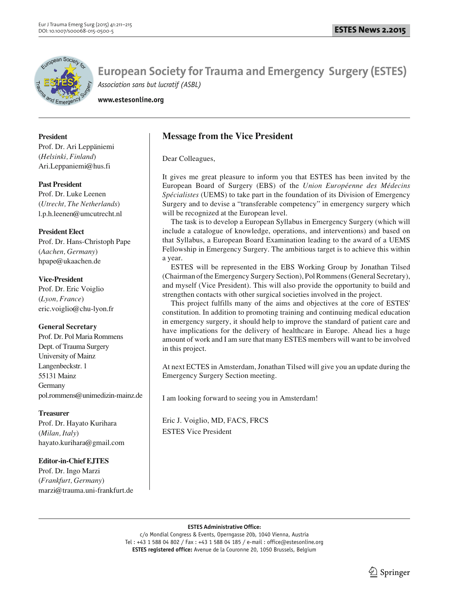

**www.estesonline.org**

**President** 

Prof. Dr. Ari Leppäniemi (*Helsinki, Finland*) Ari.Leppaniemi@hus.fi

## **Past President**

Prof. Dr. Luke Leenen (*Utrecht, The Netherlands*) l.p.h.leenen@umcutrecht.nl

## **President Elect**

Prof. Dr. Hans-Christoph Pape (*Aachen, Germany*) hpape@ukaachen.de

## **Vice-President**

Prof. Dr. Eric Voiglio (*Lyon, France*) eric.voiglio@chu-lyon.fr

# **General Secretary**

Prof. Dr. Pol Maria Rommens Dept. of Trauma Surgery University of Mainz Langenbeckstr. 1 55131 Mainz Germany pol.rommens@unimedizin-mainz.de

#### **Treasurer**

Prof. Dr. Hayato Kurihara (*Milan, Italy*) hayato.kurihara@gmail.com

# **Editor-in-Chief EJTES**

Prof. Dr. Ingo Marzi (*Frankfurt, Germany*) marzi@trauma.uni-frankfurt.de

# **Message from the Vice President**

Dear Colleagues,

It gives me great pleasure to inform you that ESTES has been invited by the European Board of Surgery (EBS) of the *Union Européenne des Médecins Spécialistes* (UEMS) to take part in the foundation of its Division of Emergency Surgery and to devise a "transferable competency" in emergency surgery which will be recognized at the European level.

The task is to develop a European Syllabus in Emergency Surgery (which will include a catalogue of knowledge, operations, and interventions) and based on that Syllabus, a European Board Examination leading to the award of a UEMS Fellowship in Emergency Surgery. The ambitious target is to achieve this within a year.

ESTES will be represented in the EBS Working Group by Jonathan Tilsed (Chairman of the Emergency Surgery Section), Pol Rommens (General Secretary), and myself (Vice President). This will also provide the opportunity to build and strengthen contacts with other surgical societies involved in the project.

This project fulfills many of the aims and objectives at the core of ESTES' constitution. In addition to promoting training and continuing medical education in emergency surgery, it should help to improve the standard of patient care and have implications for the delivery of healthcare in Europe. Ahead lies a huge amount of work and I am sure that many ESTES members will want to be involved in this project.

At next ECTES in Amsterdam, Jonathan Tilsed will give you an update during the Emergency Surgery Section meeting.

I am looking forward to seeing you in Amsterdam!

Eric J. Voiglio, MD, FACS, FRCS ESTES Vice President

**ESTES Administrative Office:**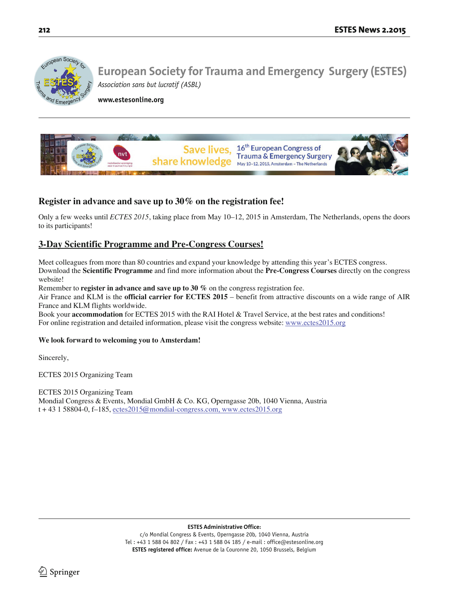

**www.estesonline.org**



# **Register in advance and save up to 30% on the registration fee!**

Only a few weeks until *ECTES 2015*, taking place from May 10–12, 2015 in Amsterdam, The Netherlands, opens the doors to its participants!

# **3-Day Scientific Programme and Pre-Congress Courses!**

Meet colleagues from more than 80 countries and expand your knowledge by attending this year's ECTES congress. Download the **Scientific Programme** and find more information about the **Pre-Congress Courses** directly on the congress website!

Remember to **register in advance and save up to 30 %** on the congress registration fee.

Air France and KLM is the **official carrier for ECTES 2015** – benefit from attractive discounts on a wide range of AIR France and KLM flights worldwide.

Book your **accommodation** for ECTES 2015 with the RAI Hotel & Travel Service, at the best rates and conditions! For online registration and detailed information, please visit the congress website: www.ectes2015.org

#### **We look forward to welcoming you to Amsterdam!**

Sincerely,

ECTES 2015 Organizing Team

ECTES 2015 Organizing Team Mondial Congress & Events, Mondial GmbH & Co. KG, Operngasse 20b, 1040 Vienna, Austria  $t + 43$  1 58804-0, f-185, ectes 2015@mondial-congress.com, www.ectes 2015.org

**ESTES Administrative Office:**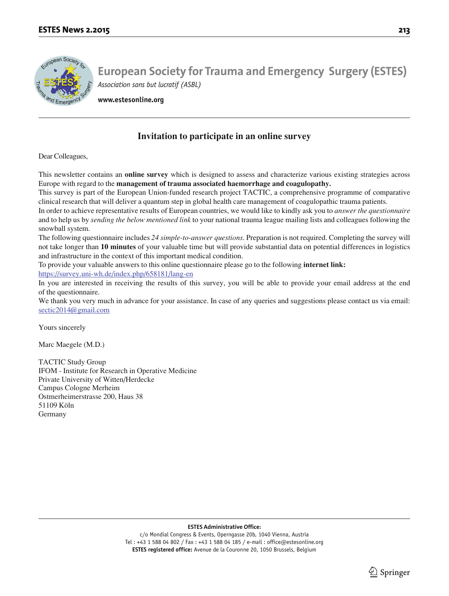

**www.estesonline.org**

# **Invitation to participate in an online survey**

Dear Colleagues,

This newsletter contains an **online survey** which is designed to assess and characterize various existing strategies across Europe with regard to the **management of trauma associated haemorrhage and coagulopathy.**

This survey is part of the European Union-funded research project TACTIC, a comprehensive programme of comparative clinical research that will deliver a quantum step in global health care management of coagulopathic trauma patients.

In order to achieve representative results of European countries, we would like to kindly ask you to *answer the questionnaire*  and to help us by *sending the below mentioned link* to your national trauma league mailing lists and colleagues following the snowball system.

The following questionnaire includes *24 simple-to-answer questions*. Preparation is not required. Completing the survey will not take longer than **10 minutes** of your valuable time but will provide substantial data on potential differences in logistics and infrastructure in the context of this important medical condition.

To provide your valuable answers to this online questionnaire please go to the following **internet link:** https://survey.uni-wh.de/index.php/658181/lang-en

In you are interested in receiving the results of this survey, you will be able to provide your email address at the end of the questionnaire.

We thank you very much in advance for your assistance. In case of any queries and suggestions please contact us via email: sectic2014@gmail.com

Yours sincerely

Marc Maegele (M.D.)

TACTIC Study Group IFOM - Institute for Research in Operative Medicine Private University of Witten/Herdecke Campus Cologne Merheim Ostmerheimerstrasse 200, Haus 38 51109 Köln Germany

**ESTES Administrative Office:**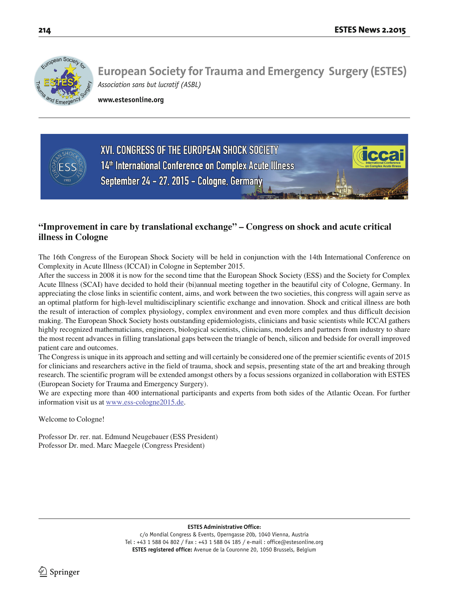

**www.estesonline.org**



# **"Improvement in care by translational exchange" – Congress on shock and acute critical illness in Cologne**

The 16th Congress of the European Shock Society will be held in conjunction with the 14th International Conference on Complexity in Acute Illness (ICCAI) in Cologne in September 2015.

After the success in 2008 it is now for the second time that the European Shock Society (ESS) and the Society for Complex Acute Illness (SCAI) have decided to hold their (bi)annual meeting together in the beautiful city of Cologne, Germany. In appreciating the close links in scientific content, aims, and work between the two societies, this congress will again serve as an optimal platform for high-level multidisciplinary scientific exchange and innovation. Shock and critical illness are both the result of interaction of complex physiology, complex environment and even more complex and thus difficult decision making. The European Shock Society hosts outstanding epidemiologists, clinicians and basic scientists while ICCAI gathers highly recognized mathematicians, engineers, biological scientists, clinicians, modelers and partners from industry to share the most recent advances in filling translational gaps between the triangle of bench, silicon and bedside for overall improved patient care and outcomes.

The Congress is unique in its approach and setting and will certainly be considered one of the premier scientific events of 2015 for clinicians and researchers active in the field of trauma, shock and sepsis, presenting state of the art and breaking through research. The scientific program will be extended amongst others by a focus sessions organized in collaboration with ESTES (European Society for Trauma and Emergency Surgery).

We are expecting more than 400 international participants and experts from both sides of the Atlantic Ocean. For further information visit us at www.ess-cologne2015.de.

Welcome to Cologne!

Professor Dr. rer. nat. Edmund Neugebauer (ESS President) Professor Dr. med. Marc Maegele (Congress President)

#### **ESTES Administrative Office:**